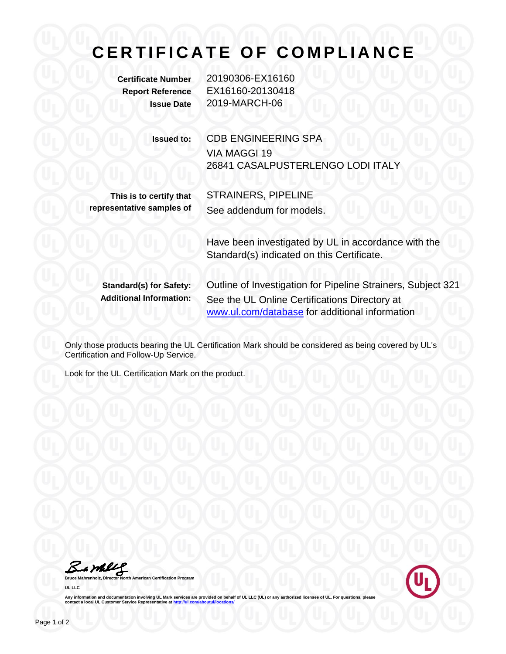## **C E R T I F I C A T E O F C O M P L I A N C E**

**Certificate Number** 20190306-EX16160 **Report Reference** EX16160-20130418 **Issue Date** 2019-MARCH-06

> **Issued to:** CDB ENGINEERING SPA VIA MAGGI 19 26841 CASALPUSTERLENGO LODI ITALY

**This is to certify that representative samples of** STRAINERS, PIPELINE See addendum for models.

Have been investigated by UL in accordance with the Standard(s) indicated on this Certificate.

**Standard(s) for Safety:** Outline of Investigation for Pipeline Strainers, Subject 321 **Additional Information:** See the UL Online Certifications Directory at [www.ul.com/database](http://www.ul.com/database) for additional information

Only those products bearing the UL Certification Mark should be considered as being covered by UL's Certification and Follow-Up Service.

Look for the UL Certification Mark on the product.

Bambly

**American Certification Program UL LLC**



Any information and documentation involving UL Mark services are provided on behalf of UL LLC (UL) or any authorized licensee of UL. For questions, please<br>contact a local UL Customer Service Representative at <u>http://ul.co</u>